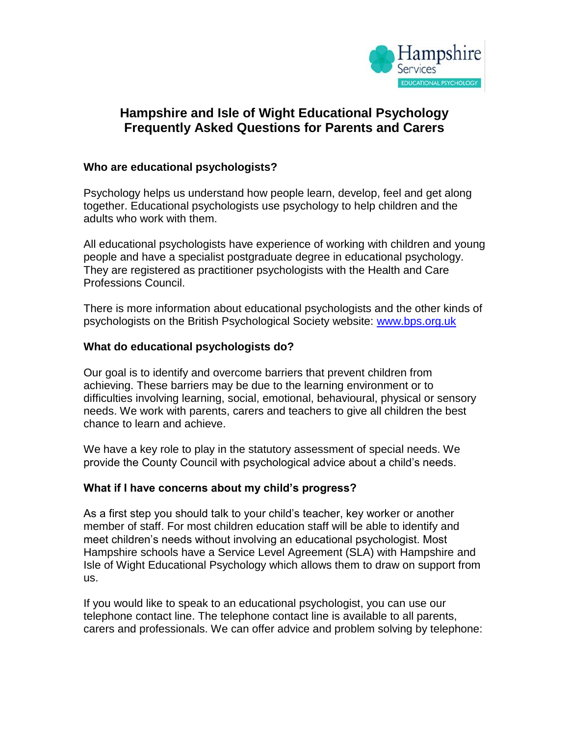

# **Hampshire and Isle of Wight Educational Psychology Frequently Asked Questions for Parents and Carers**

### **Who are educational psychologists?**

Psychology helps us understand how people learn, develop, feel and get along together. Educational psychologists use psychology to help children and the adults who work with them.

All educational psychologists have experience of working with children and young people and have a specialist postgraduate degree in educational psychology. They are registered as practitioner psychologists with the Health and Care Professions Council.

There is more information about educational psychologists and the other kinds of psychologists on the British Psychological Society website: [www.bps.org.uk](http://www.bps.org.uk/)

### **What do educational psychologists do?**

Our goal is to identify and overcome barriers that prevent children from achieving. These barriers may be due to the learning environment or to difficulties involving learning, social, emotional, behavioural, physical or sensory needs. We work with parents, carers and teachers to give all children the best chance to learn and achieve.

We have a key role to play in the statutory assessment of special needs. We provide the County Council with psychological advice about a child's needs.

### **What if I have concerns about my child's progress?**

As a first step you should talk to your child's teacher, key worker or another member of staff. For most children education staff will be able to identify and meet children's needs without involving an educational psychologist. Most Hampshire schools have a Service Level Agreement (SLA) with Hampshire and Isle of Wight Educational Psychology which allows them to draw on support from us.

If you would like to speak to an educational psychologist, you can use our telephone contact line. The telephone contact line is available to all parents, carers and professionals. We can offer advice and problem solving by telephone: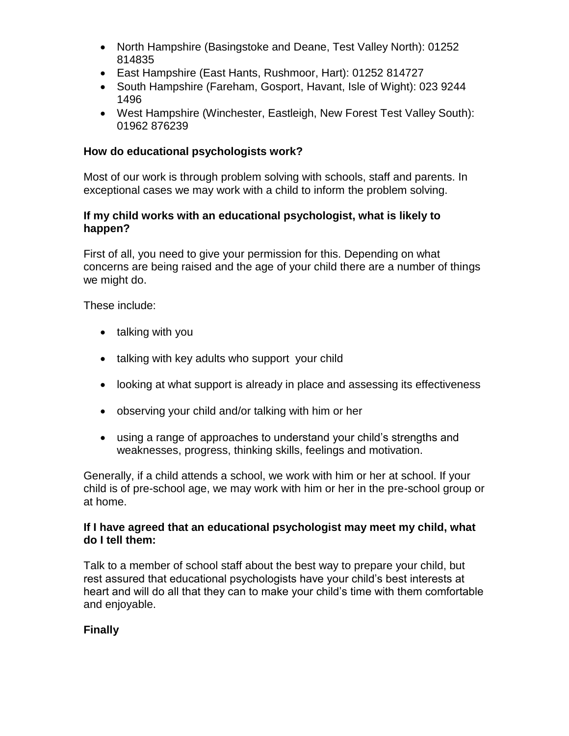- North Hampshire (Basingstoke and Deane, Test Valley North): 01252 814835
- East Hampshire (East Hants, Rushmoor, Hart): 01252 814727
- South Hampshire (Fareham, Gosport, Havant, Isle of Wight): 023 9244 1496
- West Hampshire (Winchester, Eastleigh, New Forest Test Valley South): 01962 876239

### **How do educational psychologists work?**

Most of our work is through problem solving with schools, staff and parents. In exceptional cases we may work with a child to inform the problem solving.

### **If my child works with an educational psychologist, what is likely to happen?**

First of all, you need to give your permission for this. Depending on what concerns are being raised and the age of your child there are a number of things we might do.

These include:

- talking with you
- talking with key adults who support your child
- looking at what support is already in place and assessing its effectiveness
- observing your child and/or talking with him or her
- using a range of approaches to understand your child's strengths and weaknesses, progress, thinking skills, feelings and motivation.

Generally, if a child attends a school, we work with him or her at school. If your child is of pre-school age, we may work with him or her in the pre-school group or at home.

### **If I have agreed that an educational psychologist may meet my child, what do I tell them:**

Talk to a member of school staff about the best way to prepare your child, but rest assured that educational psychologists have your child's best interests at heart and will do all that they can to make your child's time with them comfortable and enjoyable.

## **Finally**